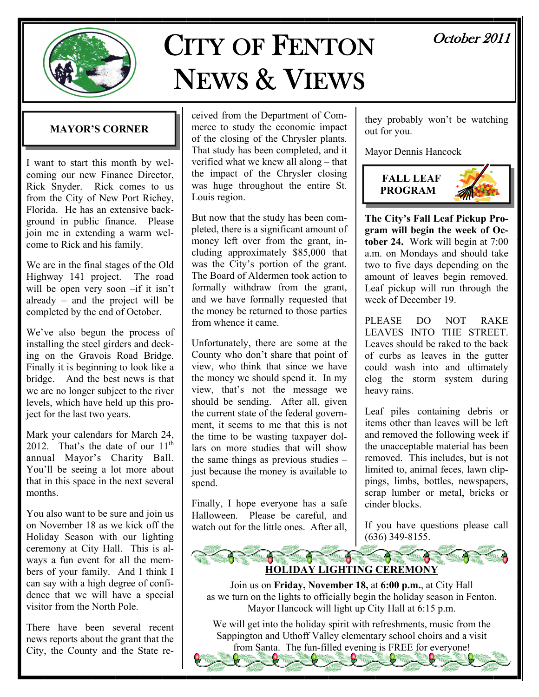

# CITY OF FENTON NEWS & VIEWS

## October 2011

## **MAYOR'S CORNER**

I want to start this month by welcoming our new Finance Director, Rick Snyder. Rick comes to us from the City of New Port Richey, Florida. He has an extensive background in public finance. Please join me in extending a warm welcome to Rick and his family.

We are in the final stages of the Old Highway 141 project. The road will be open very soon –if it isn't already – and the project will be completed by the end of October.

We've also begun the process of installing the steel girders and decking on the Gravois Road Bridge. Finally it is beginning to look like a bridge. And the best news is that we are no longer subject to the river levels, which have held up this project for the last two years.

Mark your calendars for March 24, 2012. That's the date of our  $11<sup>th</sup>$ annual Mayor's Charity Ball. You'll be seeing a lot more about that in this space in the next several months.

You also want to be sure and join us on November 18 as we kick off the Holiday Season with our lighting ceremony at City Hall. This is always a fun event for all the members of your family. And I think I can say with a high degree of confidence that we will have a special visitor from the North Pole.

There have been several recent news reports about the grant that the City, the County and the State re-

ceived from the Department of Commerce to study the economic impact of the closing of the Chrysler plants. That study has been completed, and it verified what we knew all along – that the impact of the Chrysler closing was huge throughout the entire St. Louis region.

But now that the study has been completed, there is a significant amount of money left over from the grant, including approximately \$85,000 that was the City's portion of the grant. The Board of Aldermen took action to formally withdraw from the grant, and we have formally requested that the money be returned to those parties from whence it came.

Unfortunately, there are some at the County who don't share that point of view, who think that since we have the money we should spend it. In my view, that's not the message we should be sending. After all, given the current state of the federal government, it seems to me that this is not the time to be wasting taxpayer dollars on more studies that will show the same things as previous studies – just because the money is available to spend.

Finally, I hope everyone has a safe Halloween. Please be careful, and watch out for the little ones. After all,

they probably won't be watching out for you.

Mayor Dennis Hancock



**The City's Fall Leaf Pickup Program will begin the week of October 24.** Work will begin at 7:00 a.m. on Mondays and should take two to five days depending on the amount of leaves begin removed. Leaf pickup will run through the week of December 19

PLEASE DO NOT RAKE LEAVES INTO THE STREET Leaves should be raked to the back of curbs as leaves in the gutter could wash into and ultimately clog the storm system during heavy rains.

Leaf piles containing debris or items other than leaves will be left and removed the following week if the unacceptable material has been removed. This includes, but is not limited to, animal feces, lawn clippings, limbs, bottles, newspapers, scrap lumber or metal, bricks or cinder blocks.

If you have questions please call (636) 349-8155.



Join us on **Friday, November 18,** at **6:00 p.m.**, at City Hall as we turn on the lights to officially begin the holiday season in Fenton. Mayor Hancock will light up City Hall at 6:15 p.m.

We will get into the holiday spirit with refreshments, music from the Sappington and Uthoff Valley elementary school choirs and a visit from Santa. The fun-filled evening is FREE for everyone!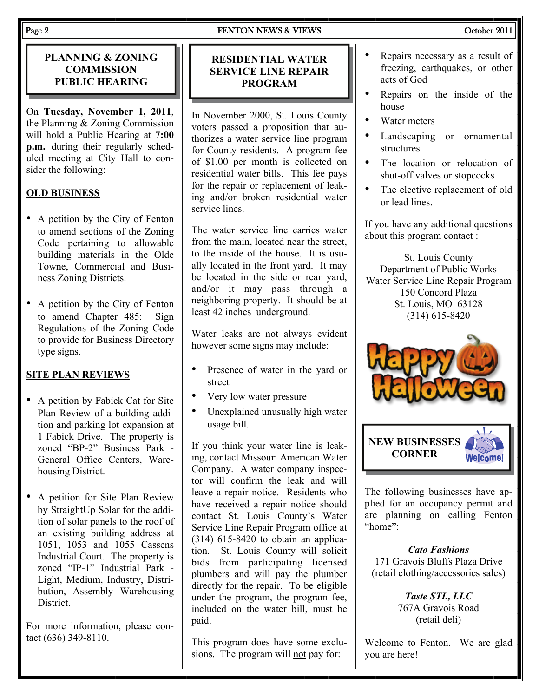## Page 2 **FENTON NEWS & VIEWS** Cotober 2011

## **PLANNING & ZONING COMMISSION PUBLIC HEARING**

On **Tuesday, November 1, 2011**, the Planning & Zoning Commission will hold a Public Hearing at **7:00 p.m.** during their regularly scheduled meeting at City Hall to consider the following:

## **OLD BUSINESS**

- A petition by the City of Fenton to amend sections of the Zoning Code pertaining to allowable building materials in the Olde Towne, Commercial and Business Zoning Districts.
- A petition by the City of Fenton to amend Chapter 485: Sign Regulations of the Zoning Code to provide for Business Directory type signs.

## **SITE PLAN REVIEWS**

- A petition by Fabick Cat for Site Plan Review of a building addition and parking lot expansion at 1 Fabick Drive. The property is zoned "BP-2" Business Park - General Office Centers, Warehousing District.
- A petition for Site Plan Review by StraightUp Solar for the addition of solar panels to the roof of an existing building address at 1051, 1053 and 1055 Cassens Industrial Court. The property is zoned "IP-1" Industrial Park - Light, Medium, Industry, Distribution, Assembly Warehousing **District**

For more information, please contact (636) 349-8110.

## **RESIDENTIAL WATER SERVICE LINE REPAIR PROGRAM**

In November 2000, St. Louis County voters passed a proposition that authorizes a water service line program for County residents. A program fee of \$1.00 per month is collected on residential water bills. This fee pays for the repair or replacement of leaking and/or broken residential water service lines.

The water service line carries water from the main, located near the street, to the inside of the house. It is usually located in the front yard. It may be located in the side or rear yard, and/or it may pass through a neighboring property. It should be at least 42 inches underground.

Water leaks are not always evident however some signs may include:

- Presence of water in the yard or street
- Very low water pressure
- Unexplained unusually high water usage bill.

If you think your water line is leaking, contact Missouri American Water Company. A water company inspector will confirm the leak and will leave a repair notice. Residents who have received a repair notice should contact St. Louis County's Water Service Line Repair Program office at (314) 615-8420 to obtain an application. St. Louis County will solicit bids from participating licensed plumbers and will pay the plumber directly for the repair. To be eligible under the program, the program fee, included on the water bill, must be paid.

This program does have some exclusions. The program will not pay for:

- Repairs necessary as a result of freezing, earthquakes, or other acts of God
- Repairs on the inside of the house
- Water meters
- Landscaping or ornamental structures
- The location or relocation of shut-off valves or stopcocks
- The elective replacement of old or lead lines.

If you have any additional questions about this program contact :

St. Louis County Department of Public Works Water Service Line Repair Program 150 Concord Plaza St. Louis, MO 63128 (314) 615-8420





The following businesses have applied for an occupancy permit and are planning on calling Fenton "home":

*Cato Fashions*  171 Gravois Bluffs Plaza Drive (retail clothing/accessories sales)

> *Taste STL, LLC*  767A Gravois Road (retail deli)

Welcome to Fenton. We are glad you are here!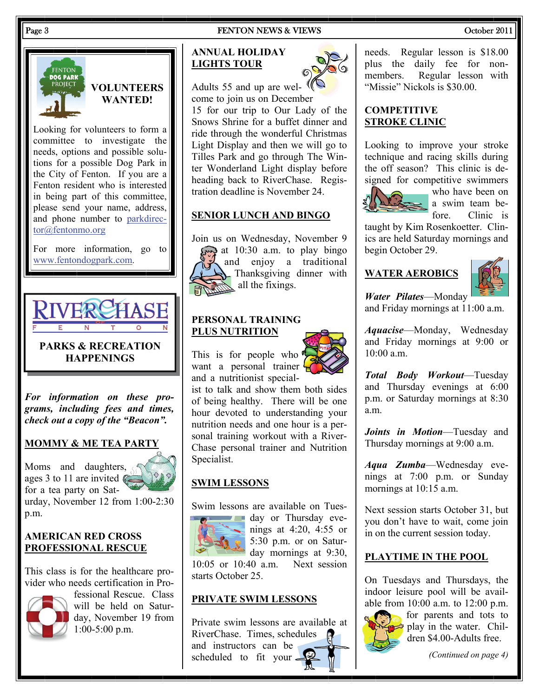## Page 3 **FENTON NEWS & VIEWS** Cotober 2011



## **VOLUNTEERS WANTED!**

Looking for volunteers to form a committee to investigate the needs, options and possible solutions for a possible Dog Park in the City of Fenton. If you are a Fenton resident who is interested in being part of this committee, please send your name, address, and phone number to [parkdirec](mailto:parkdirector@fentonmo.org)[tor@fentonmo.org](mailto:parkdirector@fentonmo.org)

For more information, go to [www.fentondogpark.com](http://www.fentondogpark.com/).



**PARKS & RECREATION HAPPENINGS** 

*For information on these programs, including fees and times, check out a copy of the "Beacon".* 

## **MOMMY & ME TEA PARTY**

Moms and daughters, ages 3 to 11 are invited  $\mathbb{C}$ for a tea party on Sat-

urday, November 12 from 1:00-2:30 p.m.

## **AMERICAN RED CROSS PROFESSIONAL RESCUE**

This class is for the healthcare provider who needs certification in Pro-



fessional Rescue. Class will be held on Saturday, November 19 from 1:00-5:00 p.m.

## **ANNUAL HOLIDAY LIGHTS TOUR**



Adults 55 and up are welcome to join us on December 15 for our trip to Our Lady of the Snows Shrine for a buffet dinner and ride through the wonderful Christmas Light Display and then we will go to Tilles Park and go through The Winter Wonderland Light display before heading back to RiverChase. Registration deadline is November 24.

## **SENIOR LUNCH AND BINGO**

Join us on Wednesday, November 9



at  $10:30$  a.m. to play bingo and enjoy a traditional Thanksgiving dinner with all the fixings.

## **PERSONAL TRAINING PLUS NUTRITION**



This is for people who  $\mathbf{\mathcal{P}}$ want a personal trainer and a nutritionist special-

ist to talk and show them both sides of being healthy. There will be one hour devoted to understanding your nutrition needs and one hour is a personal training workout with a River-Chase personal trainer and Nutrition Specialist.

## **SWIM LESSONS**

Swim lessons are available on Tues-



day or Thursday evenings at 4:20, 4:55 or 5:30 p.m. or on Saturday mornings at 9:30,

10:05 or 10:40 a.m. Next session starts October 25.

## **PRIVATE SWIM LESSONS**

Private swim lessons are available at RiverChase. Times, schedules and instructors can be scheduled to fit your

needs. Regular lesson is \$18.00 plus the daily fee for nonmembers. Regular lesson with "Missie" Nickols is \$30.00.

## **COMPETITIVE STROKE CLINIC**

Looking to improve your stroke technique and racing skills during the off season? This clinic is designed for competitive swimmers



who have been on  $\geq$  a swim team before. Clinic is

taught by Kim Rosenkoetter. Clinics are held Saturday mornings and begin October 29.

## **WATER AEROBICS**



*Water Pilates*—Monday and Friday mornings at 11:00 a.m.

*Aquacise*—Monday, Wednesday and Friday mornings at 9:00 or 10:00 a.m.

*Total Body Workout*—Tuesday and Thursday evenings at 6:00 p.m. or Saturday mornings at 8:30 a.m.

*Joints in Motion*—Tuesday and Thursday mornings at 9:00 a.m.

*Aqua Zumba*—Wednesday evenings at 7:00 p.m. or Sunday mornings at 10:15 a.m.

Next session starts October 31, but you don't have to wait, come join in on the current session today.

## **PLAYTIME IN THE POOL**

On Tuesdays and Thursdays, the indoor leisure pool will be available from 10:00 a.m. to 12:00 p.m.



for parents and tots to play in the water. Children \$4.00-Adults free.

*(Continued on page 4)*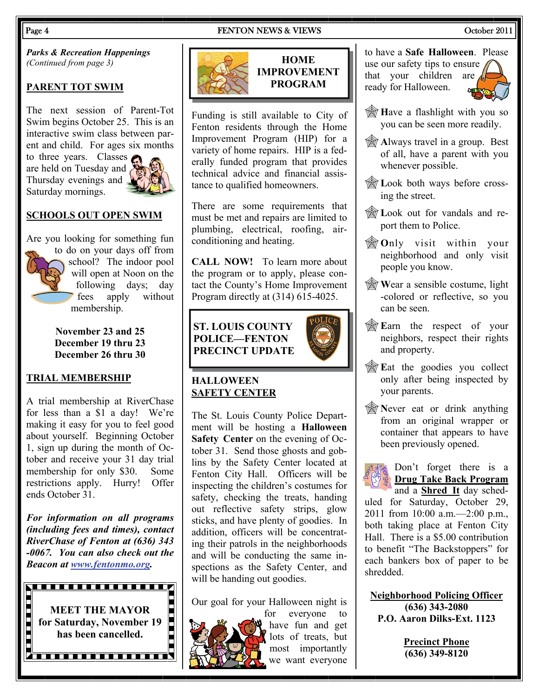## Page 4 **FENTON NEWS & VIEWS** Cotober 2011

**HOME IMPROVEMENT PROGRAM** 

Funding is still available to City of Fenton residents through the Home Improvement Program (HIP) for a variety of home repairs. HIP is a federally funded program that provides technical advice and financial assistance to qualified homeowners.

There are some requirements that must be met and repairs are limited to plumbing, electrical, roofing, airconditioning and heating.

**CALL NOW!** To learn more about the program or to apply, please contact the County's Home Improvement Program directly at (314) 615-4025.

## **ST. LOUIS COUNTY POLICE—FENTON**

## **HALLOWEEN SAFETY CENTER**

The St. Louis County Police Department will be hosting a **Halloween Safety Center** on the evening of October 31. Send those ghosts and goblins by the Safety Center located at Fenton City Hall. Officers will be inspecting the children's costumes for safety, checking the treats, handing out reflective safety strips, glow sticks, and have plenty of goodies. In addition, officers will be concentrating their patrols in the neighborhoods and will be conducting the same inspections as the Safety Center, and will be handing out goodies.

Our goal for your Halloween night is



**PRECINCT UPDATE** 







## to have a **Safe Halloween**. Please use our safety tips to ensure that your children are ready for Halloween.



- **H**ave a flashlight with you so you can be seen more readily.
- **A** Always travel in a group. Best of all, have a parent with you whenever possible.
- **Example 2** Look both ways before crossing the street.
- **Example 1** Look out for vandals and report them to Police.
- **O**nly visit within your neighborhood and only visit people you know.
- **Wear a sensible costume, light** -colored or reflective, so you can be seen.
- **E**arn the respect of your neighbors, respect their rights and property.
- **E**at the goodies you collect only after being inspected by your parents.
- **Never eat or drink anything** from an original wrapper or container that appears to have been previously opened.



Don't forget there is a **Drug Take Back Program** and a **Shred It** day sched-

uled for Saturday, October 29, 2011 from 10:00 a.m.—2:00 p.m., both taking place at Fenton City Hall. There is a \$5.00 contribution to benefit "The Backstoppers" for each bankers box of paper to be shredded.

**Neighborhood Policing Officer (636) 343-2080 P.O. Aaron Dilks-Ext. 1123** 

> **Precinct Phone (636) 349-8120**

*Parks & Recreation Happenings (Continued from page 3)* 

## **PARENT TOT SWIM**

The next session of Parent-Tot Swim begins October 25. This is an interactive swim class between parent and child. For ages six months

to three years. Classes are held on Tuesday and Thursday evenings and Saturday mornings.



## **SCHOOLS OUT OPEN SWIM**

Are you looking for something fun

to do on your days off from school? The indoor pool will open at Noon on the following days; day fees apply without membership.

**November 23 and 25 December 19 thru 23 December 26 thru 30** 

## **TRIAL MEMBERSHIP**

A trial membership at RiverChase for less than a \$1 a day! We're making it easy for you to feel good about yourself. Beginning October 1, sign up during the month of October and receive your 31 day trial membership for only \$30. Some restrictions apply. Hurry! Offer ends October 31.

*For information on all programs (including fees and times), contact RiverChase of Fenton at (636) 343 -0067. You can also check out the Beacon at [www.fentonmo.org](http://www.fentonmo.org/).*





for everyone to have fun and get lots of treats, but most importantly we want everyone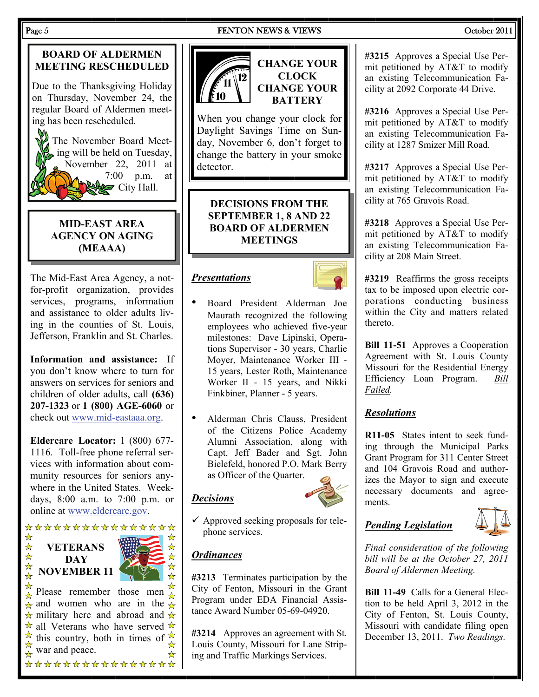## **BOARD OF ALDERMEN MEETING RESCHEDULED**

Due to the Thanksgiving Holiday on Thursday, November 24, the regular Board of Aldermen meeting has been rescheduled.

The November Board Meeting will be held on Tuesday, November 22, 2011 at 7:00 p.m. at  $\approx$  City Hall.

## **MID-EAST AREA AGENCY ON AGING (MEAAA)**

The Mid-East Area Agency, a notfor-profit organization, provides services, programs, information and assistance to older adults living in the counties of St. Louis, Jefferson, Franklin and St. Charles.

**Information and assistance:** If you don't know where to turn for answers on services for seniors and children of older adults, call **(636) 207-1323** or **1 (800) AGE-6060** or check out [www.mid-eastaaa.org](http://www.mid-eastaaa.org).

**Eldercare Locator:** 1 (800) 677- 1116. Toll-free phone referral services with information about community resources for seniors anywhere in the United States. Weekdays, 8:00 a.m. to 7:00 p.m. or online at [www.eldercare.gov](http://www.eldercare.gov).

## \*\*\*\*\*\*\*\*\*\*\*\*\*\*\*\*  $\frac{1}{\sqrt{2}}$  $\frac{1}{\lambda}$ **VETERANS**   $\frac{1}{\lambda}$ **DAY**   $\frac{1}{\sqrt{2}}$ **NOVEMBER 11**

Please remember those men  $\frac{\pi}{\sqrt{x}}$  $\hat{\mathbf{x}}$  and women who are in the  $\hat{\mathbf{x}}$  $\star$  military here and abroad and  $\star$  $\star$  all Veterans who have served  $\star$  $\overrightarrow{A}$  this country, both in times of  $\overrightarrow{A}$ war and peace. \*\*\*\*\*\*\*\*\*\*\*\*\*\*\*\*

## Page 5 September 2011 **FENTON NEWS & VIEWS** September 2011



**CLOCK CHANGE YOUR BATTERY** 

When you change your clock for Daylight Savings Time on Sunday, November 6, don't forget to change the battery in your smoke detector.

**DECISIONS FROM THE SEPTEMBER 1, 8 AND 22 BOARD OF ALDERMEN MEETINGS** 

## *Presentations*



- Board President Alderman Joe Maurath recognized the following employees who achieved five-year milestones: Dave Lipinski, Operations Supervisor - 30 years, Charlie Moyer, Maintenance Worker III - 15 years, Lester Roth, Maintenance Worker II - 15 years, and Nikki Finkbiner, Planner - 5 years.
- Alderman Chris Clauss, President of the Citizens Police Academy Alumni Association, along with Capt. Jeff Bader and Sgt. John Bielefeld, honored P.O. Mark Berry as Officer of the Quarter.

 $\checkmark$  Approved seeking proposals for telephone services.

## *Ordinances*

 $\frac{1}{\sqrt{2}}$ 

☆

*Decisions*

**#3213** Terminates participation by the City of Fenton, Missouri in the Grant Program under EDA Financial Assistance Award Number 05-69-04920.

**#3214** Approves an agreement with St. Louis County, Missouri for Lane Striping and Traffic Markings Services.

**#3215** Approves a Special Use Permit petitioned by AT&T to modify an existing Telecommunication Facility at 2092 Corporate 44 Drive.

**#3216** Approves a Special Use Permit petitioned by AT&T to modify an existing Telecommunication Facility at 1287 Smizer Mill Road.

**#3217** Approves a Special Use Permit petitioned by AT&T to modify an existing Telecommunication Facility at 765 Gravois Road.

**#3218** Approves a Special Use Permit petitioned by AT&T to modify an existing Telecommunication Facility at 208 Main Street.

**#3219** Reaffirms the gross receipts tax to be imposed upon electric corporations conducting business within the City and matters related thereto.

**Bill 11-51** Approves a Cooperation Agreement with St. Louis County Missouri for the Residential Energy Efficiency Loan Program. *Bill Failed.* 

## *Resolutions*

**R11-05** States intent to seek funding through the Municipal Parks Grant Program for 311 Center Street and 104 Gravois Road and authorizes the Mayor to sign and execute necessary documents and agreements.

## *Pending Legislation*



*Final consideration of the following bill will be at the October 27, 2011 Board of Aldermen Meeting.* 

**Bill 11-49** Calls for a General Election to be held April 3, 2012 in the City of Fenton, St. Louis County, Missouri with candidate filing open December 13, 2011. *Two Readings.*